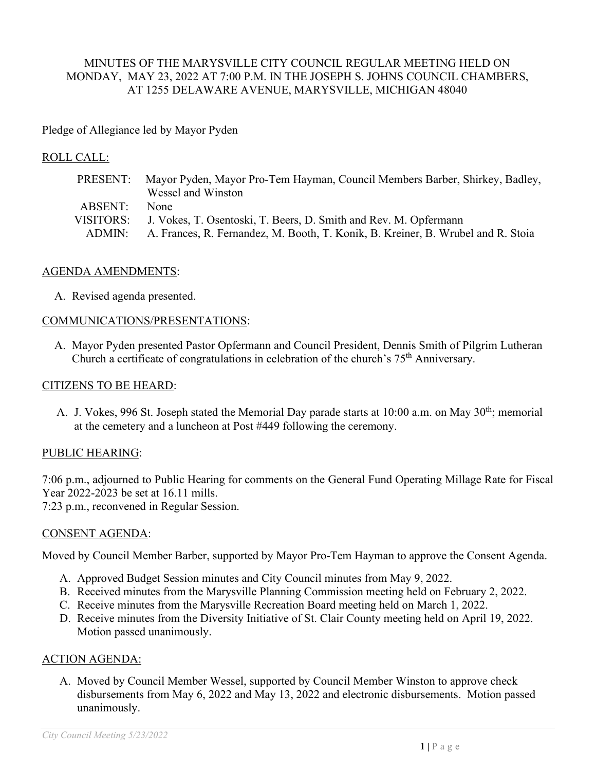## MINUTES OF THE MARYSVILLE CITY COUNCIL REGULAR MEETING HELD ON MONDAY, MAY 23, 2022 AT 7:00 P.M. IN THE JOSEPH S. JOHNS COUNCIL CHAMBERS, AT 1255 DELAWARE AVENUE, MARYSVILLE, MICHIGAN 48040

## Pledge of Allegiance led by Mayor Pyden

### ROLL CALL:

| PRESENT:  | Mayor Pyden, Mayor Pro-Tem Hayman, Council Members Barber, Shirkey, Badley,      |
|-----------|----------------------------------------------------------------------------------|
|           | Wessel and Winston                                                               |
| ABSENT:   | None.                                                                            |
| VISITORS: | J. Vokes, T. Osentoski, T. Beers, D. Smith and Rev. M. Opfermann                 |
| ADMIN:    | A. Frances, R. Fernandez, M. Booth, T. Konik, B. Kreiner, B. Wrubel and R. Stoia |

### AGENDA AMENDMENTS:

A. Revised agenda presented.

#### COMMUNICATIONS/PRESENTATIONS:

A. Mayor Pyden presented Pastor Opfermann and Council President, Dennis Smith of Pilgrim Lutheran Church a certificate of congratulations in celebration of the church's 75th Anniversary.

#### CITIZENS TO BE HEARD:

A. J. Vokes, 996 St. Joseph stated the Memorial Day parade starts at 10:00 a.m. on May 30<sup>th</sup>; memorial at the cemetery and a luncheon at Post #449 following the ceremony.

### PUBLIC HEARING:

7:06 p.m., adjourned to Public Hearing for comments on the General Fund Operating Millage Rate for Fiscal Year 2022-2023 be set at 16.11 mills.

7:23 p.m., reconvened in Regular Session.

#### CONSENT AGENDA:

Moved by Council Member Barber, supported by Mayor Pro-Tem Hayman to approve the Consent Agenda.

- A. Approved Budget Session minutes and City Council minutes from May 9, 2022.
- B. Received minutes from the Marysville Planning Commission meeting held on February 2, 2022.
- C. Receive minutes from the Marysville Recreation Board meeting held on March 1, 2022.
- D. Receive minutes from the Diversity Initiative of St. Clair County meeting held on April 19, 2022. Motion passed unanimously.

### ACTION AGENDA:

A. Moved by Council Member Wessel, supported by Council Member Winston to approve check disbursements from May 6, 2022 and May 13, 2022 and electronic disbursements. Motion passed unanimously.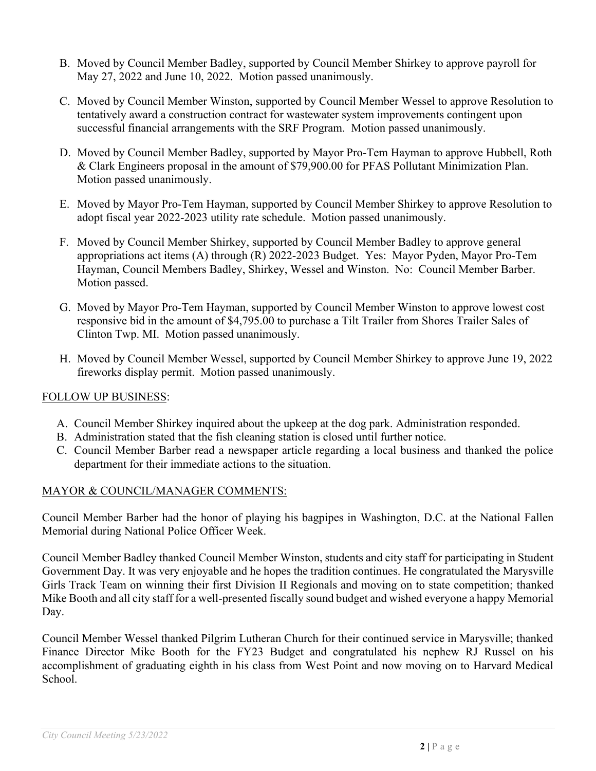- B. Moved by Council Member Badley, supported by Council Member Shirkey to approve payroll for May 27, 2022 and June 10, 2022. Motion passed unanimously.
- C. Moved by Council Member Winston, supported by Council Member Wessel to approve Resolution to tentatively award a construction contract for wastewater system improvements contingent upon successful financial arrangements with the SRF Program. Motion passed unanimously.
- D. Moved by Council Member Badley, supported by Mayor Pro-Tem Hayman to approve Hubbell, Roth & Clark Engineers proposal in the amount of \$79,900.00 for PFAS Pollutant Minimization Plan. Motion passed unanimously.
- E. Moved by Mayor Pro-Tem Hayman, supported by Council Member Shirkey to approve Resolution to adopt fiscal year 2022-2023 utility rate schedule. Motion passed unanimously.
- F. Moved by Council Member Shirkey, supported by Council Member Badley to approve general appropriations act items (A) through (R) 2022-2023 Budget. Yes: Mayor Pyden, Mayor Pro-Tem Hayman, Council Members Badley, Shirkey, Wessel and Winston. No: Council Member Barber. Motion passed.
- G. Moved by Mayor Pro-Tem Hayman, supported by Council Member Winston to approve lowest cost responsive bid in the amount of \$4,795.00 to purchase a Tilt Trailer from Shores Trailer Sales of Clinton Twp. MI. Motion passed unanimously.
- H. Moved by Council Member Wessel, supported by Council Member Shirkey to approve June 19, 2022 fireworks display permit. Motion passed unanimously.

# FOLLOW UP BUSINESS:

- A. Council Member Shirkey inquired about the upkeep at the dog park. Administration responded.
- B. Administration stated that the fish cleaning station is closed until further notice.
- C. Council Member Barber read a newspaper article regarding a local business and thanked the police department for their immediate actions to the situation.

# MAYOR & COUNCIL/MANAGER COMMENTS:

Council Member Barber had the honor of playing his bagpipes in Washington, D.C. at the National Fallen Memorial during National Police Officer Week.

Council Member Badley thanked Council Member Winston, students and city staff for participating in Student Government Day. It was very enjoyable and he hopes the tradition continues. He congratulated the Marysville Girls Track Team on winning their first Division II Regionals and moving on to state competition; thanked Mike Booth and all city staff for a well-presented fiscally sound budget and wished everyone a happy Memorial Day.

Council Member Wessel thanked Pilgrim Lutheran Church for their continued service in Marysville; thanked Finance Director Mike Booth for the FY23 Budget and congratulated his nephew RJ Russel on his accomplishment of graduating eighth in his class from West Point and now moving on to Harvard Medical School.